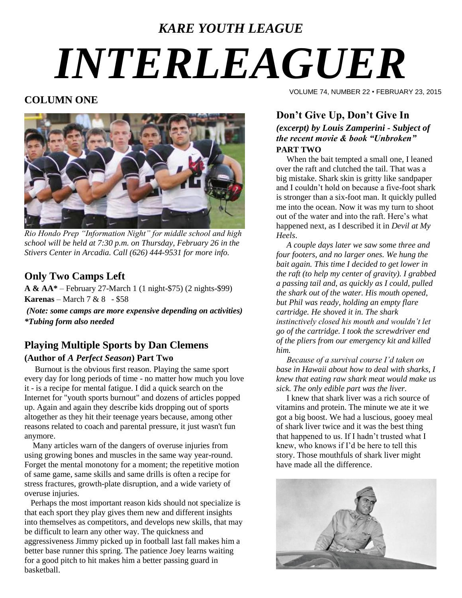# *KARE YOUTH LEAGUE INTERLEAGUER*

#### **COLUMN ONE**



*Rio Hondo Prep "Information Night" for middle school and high school will be held at 7:30 p.m. on Thursday, February 26 in the Stivers Center in Arcadia. Call (626) 444-9531 for more info.*

### **Only Two Camps Left**

**A & AA\*** – February 27-March 1 (1 night-\$75) (2 nights-\$99) **Karenas** – March 7 & 8 - \$58

*(Note: some camps are more expensive depending on activities) \*Tubing form also needed*

#### **Playing Multiple Sports by Dan Clemens (Author of** *A Perfect Season***) Part Two**

 Burnout is the obvious first reason. Playing the same sport every day for long periods of time - no matter how much you love it - is a recipe for mental fatigue. I did a quick search on the Internet for "youth sports burnout" and dozens of articles popped up. Again and again they describe kids dropping out of sports altogether as they hit their teenage years because, among other reasons related to coach and parental pressure, it [just wasn't fun](http://www.momsteam.com/node/3110)  [anymore.](http://www.momsteam.com/node/3110)

 Many articles warn of the [dangers of overuse injuries](http://www.momsteam.com/node/1234) from using growing bones and muscles in the same way year-round. Forget the mental monotony for a moment; the repetitive motion of same game, same skills and same drills is often a recipe for [stress fractures,](http://www.momsteam.com/node/3295) growth-plate disruption, and a wide variety of overuse injuries.

 Perhaps the most important reason kids should not specialize is that each sport they play gives them new and different insights into themselves as competitors, and develops new skills, that may be difficult to learn any other way. The quickness and aggressiveness Jimmy picked up in football last fall makes him a better base runner this spring. The patience Joey learns waiting for a good pitch to hit makes him a better passing guard in basketball.

VOLUME 74, NUMBER 22 • FEBRUARY 23, 2015

## **Don't Give Up, Don't Give In**

*(excerpt) by Louis Zamperini - Subject of the recent movie & book "Unbroken"*  **PART TWO**

 When the bait tempted a small one, I leaned over the raft and clutched the tail. That was a big mistake. Shark skin is gritty like sandpaper and I couldn't hold on because a five-foot shark is stronger than a six-foot man. It quickly pulled me into the ocean. Now it was my turn to shoot out of the water and into the raft. Here's what happened next, as I described it in *Devil at My Heels*.

 *A couple days later we saw some three and four footers, and no larger ones. We hung the bait again. This time I decided to get lower in the raft (to help my center of gravity). I grabbed a passing tail and, as quickly as I could, pulled the shark out of the water. His mouth opened, but Phil was ready, holding an empty flare cartridge. He shoved it in. The shark instinctively closed his mouth and wouldn't let go of the cartridge. I took the screwdriver end of the pliers from our emergency kit and killed him.*

 *Because of a survival course I'd taken on base in Hawaii about how to deal with sharks, I knew that eating raw shark meat would make us sick. The only edible part was the liver.*

I knew that shark liver was a rich source of vitamins and protein. The minute we ate it we got a big boost. We had a luscious, gooey meal of shark liver twice and it was the best thing that happened to us. If I hadn't trusted what I knew, who knows if I'd be here to tell this story. Those mouthfuls of shark liver might have made all the difference.